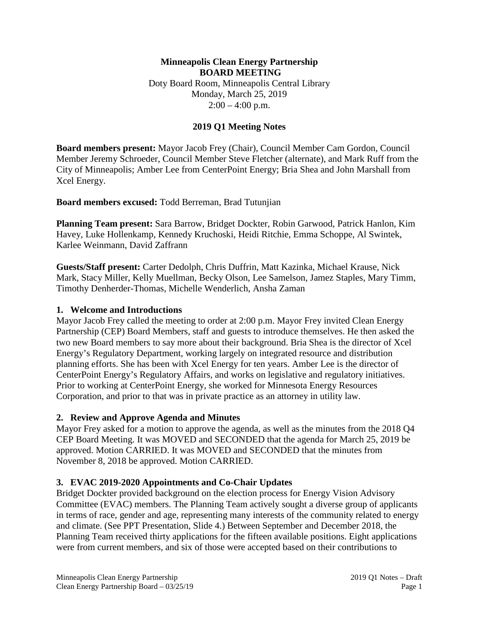#### **Minneapolis Clean Energy Partnership BOARD MEETING** Doty Board Room, Minneapolis Central Library Monday, March 25, 2019  $2:00 - 4:00$  p.m.

### **2019 Q1 Meeting Notes**

**Board members present:** Mayor Jacob Frey (Chair), Council Member Cam Gordon, Council Member Jeremy Schroeder, Council Member Steve Fletcher (alternate), and Mark Ruff from the City of Minneapolis; Amber Lee from CenterPoint Energy; Bria Shea and John Marshall from Xcel Energy.

**Board members excused:** Todd Berreman, Brad Tutunjian

**Planning Team present:** Sara Barrow, Bridget Dockter, Robin Garwood, Patrick Hanlon, Kim Havey, Luke Hollenkamp, Kennedy Kruchoski, Heidi Ritchie, Emma Schoppe, Al Swintek, Karlee Weinmann, David Zaffrann

**Guests/Staff present:** Carter Dedolph, Chris Duffrin, Matt Kazinka, Michael Krause, Nick Mark, Stacy Miller, Kelly Muellman, Becky Olson, Lee Samelson, Jamez Staples, Mary Timm, Timothy Denherder-Thomas, Michelle Wenderlich, Ansha Zaman

#### **1. Welcome and Introductions**

Mayor Jacob Frey called the meeting to order at 2:00 p.m. Mayor Frey invited Clean Energy Partnership (CEP) Board Members, staff and guests to introduce themselves. He then asked the two new Board members to say more about their background. Bria Shea is the director of Xcel Energy's Regulatory Department, working largely on integrated resource and distribution planning efforts. She has been with Xcel Energy for ten years. Amber Lee is the director of CenterPoint Energy's Regulatory Affairs, and works on legislative and regulatory initiatives. Prior to working at CenterPoint Energy, she worked for Minnesota Energy Resources Corporation, and prior to that was in private practice as an attorney in utility law.

### **2. Review and Approve Agenda and Minutes**

Mayor Frey asked for a motion to approve the agenda, as well as the minutes from the 2018 Q4 CEP Board Meeting. It was MOVED and SECONDED that the agenda for March 25, 2019 be approved. Motion CARRIED. It was MOVED and SECONDED that the minutes from November 8, 2018 be approved. Motion CARRIED.

### **3. EVAC 2019-2020 Appointments and Co-Chair Updates**

Bridget Dockter provided background on the election process for Energy Vision Advisory Committee (EVAC) members. The Planning Team actively sought a diverse group of applicants in terms of race, gender and age, representing many interests of the community related to energy and climate. (See PPT Presentation, Slide 4.) Between September and December 2018, the Planning Team received thirty applications for the fifteen available positions. Eight applications were from current members, and six of those were accepted based on their contributions to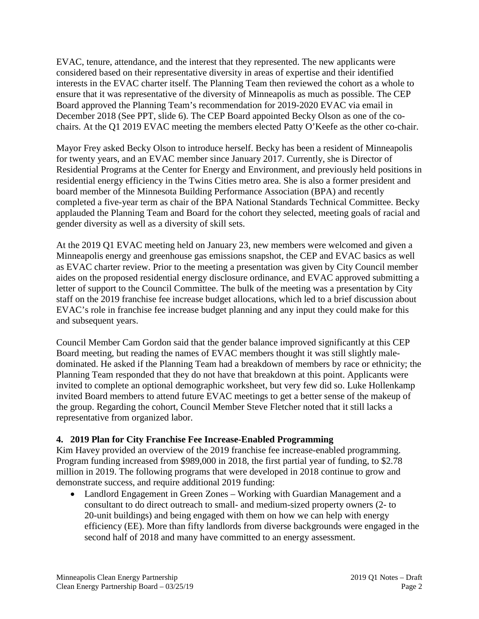EVAC, tenure, attendance, and the interest that they represented. The new applicants were considered based on their representative diversity in areas of expertise and their identified interests in the EVAC charter itself. The Planning Team then reviewed the cohort as a whole to ensure that it was representative of the diversity of Minneapolis as much as possible. The CEP Board approved the Planning Team's recommendation for 2019-2020 EVAC via email in December 2018 (See PPT, slide 6). The CEP Board appointed Becky Olson as one of the cochairs. At the Q1 2019 EVAC meeting the members elected Patty O'Keefe as the other co-chair.

Mayor Frey asked Becky Olson to introduce herself. Becky has been a resident of Minneapolis for twenty years, and an EVAC member since January 2017. Currently, she is Director of Residential Programs at the Center for Energy and Environment, and previously held positions in residential energy efficiency in the Twins Cities metro area. She is also a former president and board member of the Minnesota Building Performance Association (BPA) and recently completed a five-year term as chair of the BPA National Standards Technical Committee. Becky applauded the Planning Team and Board for the cohort they selected, meeting goals of racial and gender diversity as well as a diversity of skill sets.

At the 2019 Q1 EVAC meeting held on January 23, new members were welcomed and given a Minneapolis energy and greenhouse gas emissions snapshot, the CEP and EVAC basics as well as EVAC charter review. Prior to the meeting a presentation was given by City Council member aides on the proposed residential energy disclosure ordinance, and EVAC approved submitting a letter of support to the Council Committee. The bulk of the meeting was a presentation by City staff on the 2019 franchise fee increase budget allocations, which led to a brief discussion about EVAC's role in franchise fee increase budget planning and any input they could make for this and subsequent years.

Council Member Cam Gordon said that the gender balance improved significantly at this CEP Board meeting, but reading the names of EVAC members thought it was still slightly maledominated. He asked if the Planning Team had a breakdown of members by race or ethnicity; the Planning Team responded that they do not have that breakdown at this point. Applicants were invited to complete an optional demographic worksheet, but very few did so. Luke Hollenkamp invited Board members to attend future EVAC meetings to get a better sense of the makeup of the group. Regarding the cohort, Council Member Steve Fletcher noted that it still lacks a representative from organized labor.

# **4. 2019 Plan for City Franchise Fee Increase-Enabled Programming**

Kim Havey provided an overview of the 2019 franchise fee increase-enabled programming. Program funding increased from \$989,000 in 2018, the first partial year of funding, to \$2.78 million in 2019. The following programs that were developed in 2018 continue to grow and demonstrate success, and require additional 2019 funding:

• Landlord Engagement in Green Zones – Working with Guardian Management and a consultant to do direct outreach to small- and medium-sized property owners (2- to 20-unit buildings) and being engaged with them on how we can help with energy efficiency (EE). More than fifty landlords from diverse backgrounds were engaged in the second half of 2018 and many have committed to an energy assessment.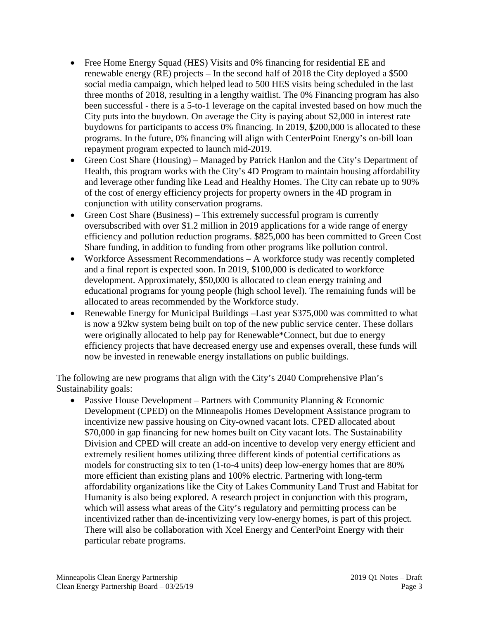- Free Home Energy Squad (HES) Visits and 0% financing for residential EE and renewable energy (RE) projects – In the second half of 2018 the City deployed a \$500 social media campaign, which helped lead to 500 HES visits being scheduled in the last three months of 2018, resulting in a lengthy waitlist. The 0% Financing program has also been successful - there is a 5-to-1 leverage on the capital invested based on how much the City puts into the buydown. On average the City is paying about \$2,000 in interest rate buydowns for participants to access 0% financing. In 2019, \$200,000 is allocated to these programs. In the future, 0% financing will align with CenterPoint Energy's on-bill loan repayment program expected to launch mid-2019.
- Green Cost Share (Housing) Managed by Patrick Hanlon and the City's Department of Health, this program works with the City's 4D Program to maintain housing affordability and leverage other funding like Lead and Healthy Homes. The City can rebate up to 90% of the cost of energy efficiency projects for property owners in the 4D program in conjunction with utility conservation programs.
- Green Cost Share (Business) This extremely successful program is currently oversubscribed with over \$1.2 million in 2019 applications for a wide range of energy efficiency and pollution reduction programs. \$825,000 has been committed to Green Cost Share funding, in addition to funding from other programs like pollution control.
- Workforce Assessment Recommendations A workforce study was recently completed and a final report is expected soon. In 2019, \$100,000 is dedicated to workforce development. Approximately, \$50,000 is allocated to clean energy training and educational programs for young people (high school level). The remaining funds will be allocated to areas recommended by the Workforce study.
- Renewable Energy for Municipal Buildings –Last year \$375,000 was committed to what is now a 92kw system being built on top of the new public service center. These dollars were originally allocated to help pay for Renewable\*Connect, but due to energy efficiency projects that have decreased energy use and expenses overall, these funds will now be invested in renewable energy installations on public buildings.

The following are new programs that align with the City's 2040 Comprehensive Plan's Sustainability goals:

• Passive House Development – Partners with Community Planning  $&$  Economic Development (CPED) on the Minneapolis Homes Development Assistance program to incentivize new passive housing on City-owned vacant lots. CPED allocated about \$70,000 in gap financing for new homes built on City vacant lots. The Sustainability Division and CPED will create an add-on incentive to develop very energy efficient and extremely resilient homes utilizing three different kinds of potential certifications as models for constructing six to ten (1-to-4 units) deep low-energy homes that are 80% more efficient than existing plans and 100% electric. Partnering with long-term affordability organizations like the City of Lakes Community Land Trust and Habitat for Humanity is also being explored. A research project in conjunction with this program, which will assess what areas of the City's regulatory and permitting process can be incentivized rather than de-incentivizing very low-energy homes, is part of this project. There will also be collaboration with Xcel Energy and CenterPoint Energy with their particular rebate programs.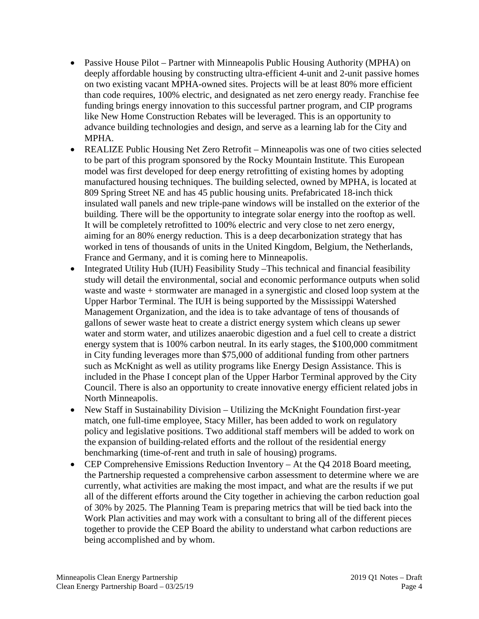- Passive House Pilot Partner with Minneapolis Public Housing Authority (MPHA) on deeply affordable housing by constructing ultra-efficient 4-unit and 2-unit passive homes on two existing vacant MPHA-owned sites. Projects will be at least 80% more efficient than code requires, 100% electric, and designated as net zero energy ready. Franchise fee funding brings energy innovation to this successful partner program, and CIP programs like New Home Construction Rebates will be leveraged. This is an opportunity to advance building technologies and design, and serve as a learning lab for the City and MPHA.
- REALIZE Public Housing Net Zero Retrofit Minneapolis was one of two cities selected to be part of this program sponsored by the Rocky Mountain Institute. This European model was first developed for deep energy retrofitting of existing homes by adopting manufactured housing techniques. The building selected, owned by MPHA, is located at 809 Spring Street NE and has 45 public housing units. Prefabricated 18-inch thick insulated wall panels and new triple-pane windows will be installed on the exterior of the building. There will be the opportunity to integrate solar energy into the rooftop as well. It will be completely retrofitted to 100% electric and very close to net zero energy, aiming for an 80% energy reduction. This is a deep decarbonization strategy that has worked in tens of thousands of units in the United Kingdom, Belgium, the Netherlands, France and Germany, and it is coming here to Minneapolis.
- Integrated Utility Hub (IUH) Feasibility Study This technical and financial feasibility study will detail the environmental, social and economic performance outputs when solid waste and waste + stormwater are managed in a synergistic and closed loop system at the Upper Harbor Terminal. The IUH is being supported by the Mississippi Watershed Management Organization, and the idea is to take advantage of tens of thousands of gallons of sewer waste heat to create a district energy system which cleans up sewer water and storm water, and utilizes anaerobic digestion and a fuel cell to create a district energy system that is 100% carbon neutral. In its early stages, the \$100,000 commitment in City funding leverages more than \$75,000 of additional funding from other partners such as McKnight as well as utility programs like Energy Design Assistance. This is included in the Phase I concept plan of the Upper Harbor Terminal approved by the City Council. There is also an opportunity to create innovative energy efficient related jobs in North Minneapolis.
- New Staff in Sustainability Division Utilizing the McKnight Foundation first-year match, one full-time employee, Stacy Miller, has been added to work on regulatory policy and legislative positions. Two additional staff members will be added to work on the expansion of building-related efforts and the rollout of the residential energy benchmarking (time-of-rent and truth in sale of housing) programs.
- CEP Comprehensive Emissions Reduction Inventory At the Q4 2018 Board meeting, the Partnership requested a comprehensive carbon assessment to determine where we are currently, what activities are making the most impact, and what are the results if we put all of the different efforts around the City together in achieving the carbon reduction goal of 30% by 2025. The Planning Team is preparing metrics that will be tied back into the Work Plan activities and may work with a consultant to bring all of the different pieces together to provide the CEP Board the ability to understand what carbon reductions are being accomplished and by whom.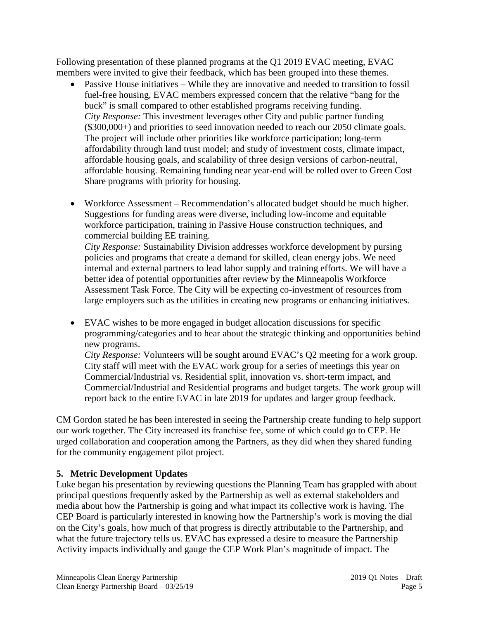Following presentation of these planned programs at the Q1 2019 EVAC meeting, EVAC members were invited to give their feedback, which has been grouped into these themes.

- Passive House initiatives While they are innovative and needed to transition to fossil fuel-free housing, EVAC members expressed concern that the relative "bang for the buck" is small compared to other established programs receiving funding. *City Response:* This investment leverages other City and public partner funding (\$300,000+) and priorities to seed innovation needed to reach our 2050 climate goals. The project will include other priorities like workforce participation; long-term affordability through land trust model; and study of investment costs, climate impact, affordable housing goals, and scalability of three design versions of carbon-neutral, affordable housing. Remaining funding near year-end will be rolled over to Green Cost Share programs with priority for housing.
- Workforce Assessment Recommendation's allocated budget should be much higher. Suggestions for funding areas were diverse, including low-income and equitable workforce participation, training in Passive House construction techniques, and commercial building EE training.

*City Response:* Sustainability Division addresses workforce development by pursing policies and programs that create a demand for skilled, clean energy jobs. We need internal and external partners to lead labor supply and training efforts. We will have a better idea of potential opportunities after review by the Minneapolis Workforce Assessment Task Force. The City will be expecting co-investment of resources from large employers such as the utilities in creating new programs or enhancing initiatives.

• EVAC wishes to be more engaged in budget allocation discussions for specific programming/categories and to hear about the strategic thinking and opportunities behind new programs. *City Response:* Volunteers will be sought around EVAC's Q2 meeting for a work group. City staff will meet with the EVAC work group for a series of meetings this year on

Commercial/Industrial vs. Residential split, innovation vs. short-term impact, and Commercial/Industrial and Residential programs and budget targets. The work group will report back to the entire EVAC in late 2019 for updates and larger group feedback.

CM Gordon stated he has been interested in seeing the Partnership create funding to help support our work together. The City increased its franchise fee, some of which could go to CEP. He urged collaboration and cooperation among the Partners, as they did when they shared funding for the community engagement pilot project.

# **5. Metric Development Updates**

Luke began his presentation by reviewing questions the Planning Team has grappled with about principal questions frequently asked by the Partnership as well as external stakeholders and media about how the Partnership is going and what impact its collective work is having. The CEP Board is particularly interested in knowing how the Partnership's work is moving the dial on the City's goals, how much of that progress is directly attributable to the Partnership, and what the future trajectory tells us. EVAC has expressed a desire to measure the Partnership Activity impacts individually and gauge the CEP Work Plan's magnitude of impact. The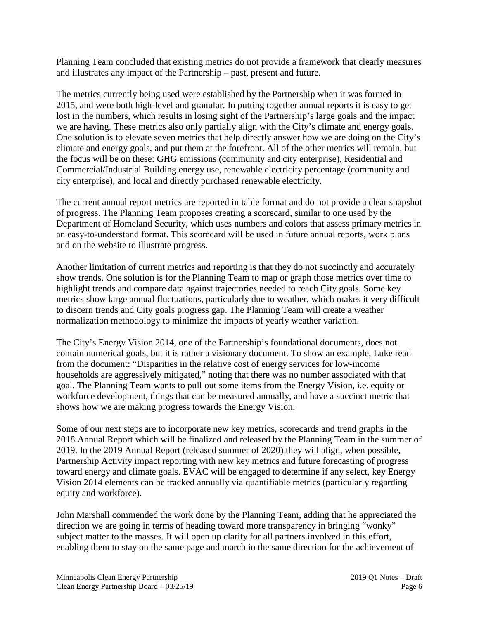Planning Team concluded that existing metrics do not provide a framework that clearly measures and illustrates any impact of the Partnership – past, present and future.

The metrics currently being used were established by the Partnership when it was formed in 2015, and were both high-level and granular. In putting together annual reports it is easy to get lost in the numbers, which results in losing sight of the Partnership's large goals and the impact we are having. These metrics also only partially align with the City's climate and energy goals. One solution is to elevate seven metrics that help directly answer how we are doing on the City's climate and energy goals, and put them at the forefront. All of the other metrics will remain, but the focus will be on these: GHG emissions (community and city enterprise), Residential and Commercial/Industrial Building energy use, renewable electricity percentage (community and city enterprise), and local and directly purchased renewable electricity.

The current annual report metrics are reported in table format and do not provide a clear snapshot of progress. The Planning Team proposes creating a scorecard, similar to one used by the Department of Homeland Security, which uses numbers and colors that assess primary metrics in an easy-to-understand format. This scorecard will be used in future annual reports, work plans and on the website to illustrate progress.

Another limitation of current metrics and reporting is that they do not succinctly and accurately show trends. One solution is for the Planning Team to map or graph those metrics over time to highlight trends and compare data against trajectories needed to reach City goals. Some key metrics show large annual fluctuations, particularly due to weather, which makes it very difficult to discern trends and City goals progress gap. The Planning Team will create a weather normalization methodology to minimize the impacts of yearly weather variation.

The City's Energy Vision 2014, one of the Partnership's foundational documents, does not contain numerical goals, but it is rather a visionary document. To show an example, Luke read from the document: "Disparities in the relative cost of energy services for low-income households are aggressively mitigated," noting that there was no number associated with that goal. The Planning Team wants to pull out some items from the Energy Vision, i.e. equity or workforce development, things that can be measured annually, and have a succinct metric that shows how we are making progress towards the Energy Vision.

Some of our next steps are to incorporate new key metrics, scorecards and trend graphs in the 2018 Annual Report which will be finalized and released by the Planning Team in the summer of 2019. In the 2019 Annual Report (released summer of 2020) they will align, when possible, Partnership Activity impact reporting with new key metrics and future forecasting of progress toward energy and climate goals. EVAC will be engaged to determine if any select, key Energy Vision 2014 elements can be tracked annually via quantifiable metrics (particularly regarding equity and workforce).

John Marshall commended the work done by the Planning Team, adding that he appreciated the direction we are going in terms of heading toward more transparency in bringing "wonky" subject matter to the masses. It will open up clarity for all partners involved in this effort, enabling them to stay on the same page and march in the same direction for the achievement of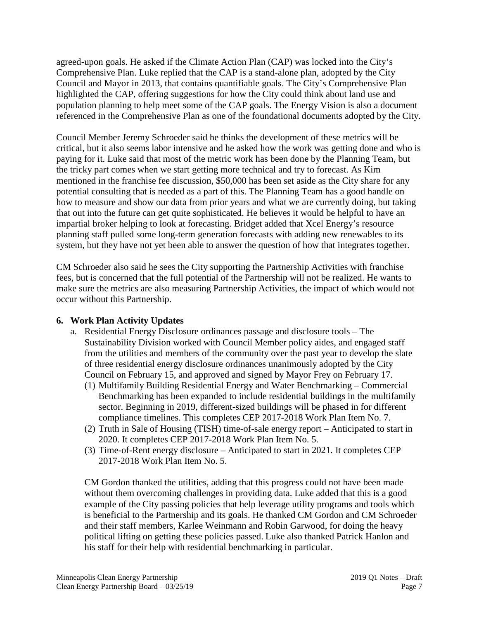agreed-upon goals. He asked if the Climate Action Plan (CAP) was locked into the City's Comprehensive Plan. Luke replied that the CAP is a stand-alone plan, adopted by the City Council and Mayor in 2013, that contains quantifiable goals. The City's Comprehensive Plan highlighted the CAP, offering suggestions for how the City could think about land use and population planning to help meet some of the CAP goals. The Energy Vision is also a document referenced in the Comprehensive Plan as one of the foundational documents adopted by the City.

Council Member Jeremy Schroeder said he thinks the development of these metrics will be critical, but it also seems labor intensive and he asked how the work was getting done and who is paying for it. Luke said that most of the metric work has been done by the Planning Team, but the tricky part comes when we start getting more technical and try to forecast. As Kim mentioned in the franchise fee discussion, \$50,000 has been set aside as the City share for any potential consulting that is needed as a part of this. The Planning Team has a good handle on how to measure and show our data from prior years and what we are currently doing, but taking that out into the future can get quite sophisticated. He believes it would be helpful to have an impartial broker helping to look at forecasting. Bridget added that Xcel Energy's resource planning staff pulled some long-term generation forecasts with adding new renewables to its system, but they have not yet been able to answer the question of how that integrates together.

CM Schroeder also said he sees the City supporting the Partnership Activities with franchise fees, but is concerned that the full potential of the Partnership will not be realized. He wants to make sure the metrics are also measuring Partnership Activities, the impact of which would not occur without this Partnership.

### **6. Work Plan Activity Updates**

- a. Residential Energy Disclosure ordinances passage and disclosure tools The Sustainability Division worked with Council Member policy aides, and engaged staff from the utilities and members of the community over the past year to develop the slate of three residential energy disclosure ordinances unanimously adopted by the City Council on February 15, and approved and signed by Mayor Frey on February 17.
	- (1) Multifamily Building Residential Energy and Water Benchmarking Commercial Benchmarking has been expanded to include residential buildings in the multifamily sector. Beginning in 2019, different-sized buildings will be phased in for different compliance timelines. This completes CEP 2017-2018 Work Plan Item No. 7.
	- (2) Truth in Sale of Housing (TISH) time-of-sale energy report Anticipated to start in 2020. It completes CEP 2017-2018 Work Plan Item No. 5.
	- (3) Time-of-Rent energy disclosure Anticipated to start in 2021. It completes CEP 2017-2018 Work Plan Item No. 5.

CM Gordon thanked the utilities, adding that this progress could not have been made without them overcoming challenges in providing data. Luke added that this is a good example of the City passing policies that help leverage utility programs and tools which is beneficial to the Partnership and its goals. He thanked CM Gordon and CM Schroeder and their staff members, Karlee Weinmann and Robin Garwood, for doing the heavy political lifting on getting these policies passed. Luke also thanked Patrick Hanlon and his staff for their help with residential benchmarking in particular.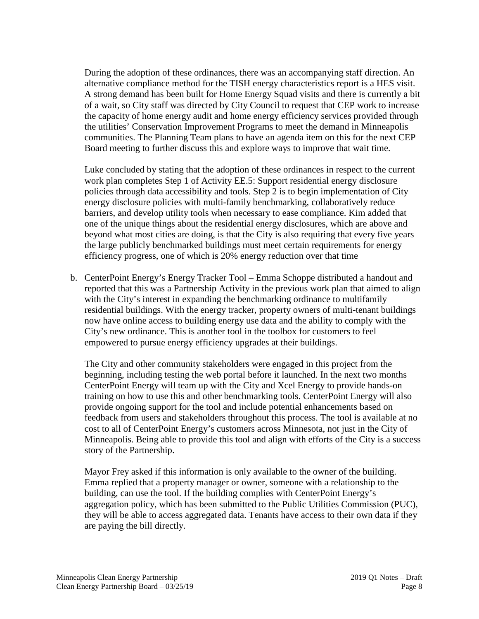During the adoption of these ordinances, there was an accompanying staff direction. An alternative compliance method for the TISH energy characteristics report is a HES visit. A strong demand has been built for Home Energy Squad visits and there is currently a bit of a wait, so City staff was directed by City Council to request that CEP work to increase the capacity of home energy audit and home energy efficiency services provided through the utilities' Conservation Improvement Programs to meet the demand in Minneapolis communities. The Planning Team plans to have an agenda item on this for the next CEP Board meeting to further discuss this and explore ways to improve that wait time.

Luke concluded by stating that the adoption of these ordinances in respect to the current work plan completes Step 1 of Activity EE.5: Support residential energy disclosure policies through data accessibility and tools. Step 2 is to begin implementation of City energy disclosure policies with multi-family benchmarking, collaboratively reduce barriers, and develop utility tools when necessary to ease compliance. Kim added that one of the unique things about the residential energy disclosures, which are above and beyond what most cities are doing, is that the City is also requiring that every five years the large publicly benchmarked buildings must meet certain requirements for energy efficiency progress, one of which is 20% energy reduction over that time

b. CenterPoint Energy's Energy Tracker Tool – Emma Schoppe distributed a handout and reported that this was a Partnership Activity in the previous work plan that aimed to align with the City's interest in expanding the benchmarking ordinance to multifamily residential buildings. With the energy tracker, property owners of multi-tenant buildings now have online access to building energy use data and the ability to comply with the City's new ordinance. This is another tool in the toolbox for customers to feel empowered to pursue energy efficiency upgrades at their buildings.

The City and other community stakeholders were engaged in this project from the beginning, including testing the web portal before it launched. In the next two months CenterPoint Energy will team up with the City and Xcel Energy to provide hands-on training on how to use this and other benchmarking tools. CenterPoint Energy will also provide ongoing support for the tool and include potential enhancements based on feedback from users and stakeholders throughout this process. The tool is available at no cost to all of CenterPoint Energy's customers across Minnesota, not just in the City of Minneapolis. Being able to provide this tool and align with efforts of the City is a success story of the Partnership.

Mayor Frey asked if this information is only available to the owner of the building. Emma replied that a property manager or owner, someone with a relationship to the building, can use the tool. If the building complies with CenterPoint Energy's aggregation policy, which has been submitted to the Public Utilities Commission (PUC), they will be able to access aggregated data. Tenants have access to their own data if they are paying the bill directly.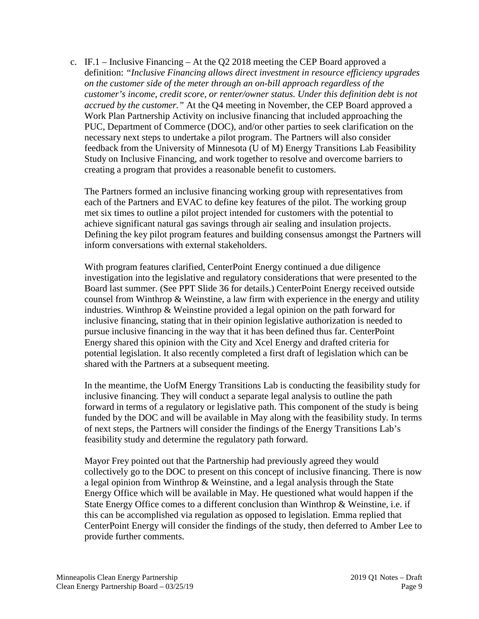c. IF.1 – Inclusive Financing – At the Q2 2018 meeting the CEP Board approved a definition: *"Inclusive Financing allows direct investment in resource efficiency upgrades on the customer side of the meter through an on-bill approach regardless of the customer's income, credit score, or renter/owner status. Under this definition debt is not accrued by the customer."* At the Q4 meeting in November, the CEP Board approved a Work Plan Partnership Activity on inclusive financing that included approaching the PUC, Department of Commerce (DOC), and/or other parties to seek clarification on the necessary next steps to undertake a pilot program. The Partners will also consider feedback from the University of Minnesota (U of M) Energy Transitions Lab Feasibility Study on Inclusive Financing, and work together to resolve and overcome barriers to creating a program that provides a reasonable benefit to customers.

The Partners formed an inclusive financing working group with representatives from each of the Partners and EVAC to define key features of the pilot. The working group met six times to outline a pilot project intended for customers with the potential to achieve significant natural gas savings through air sealing and insulation projects. Defining the key pilot program features and building consensus amongst the Partners will inform conversations with external stakeholders.

With program features clarified, CenterPoint Energy continued a due diligence investigation into the legislative and regulatory considerations that were presented to the Board last summer. (See PPT Slide 36 for details.) CenterPoint Energy received outside counsel from Winthrop  $\&$  Weinstine, a law firm with experience in the energy and utility industries. Winthrop & Weinstine provided a legal opinion on the path forward for inclusive financing, stating that in their opinion legislative authorization is needed to pursue inclusive financing in the way that it has been defined thus far. CenterPoint Energy shared this opinion with the City and Xcel Energy and drafted criteria for potential legislation. It also recently completed a first draft of legislation which can be shared with the Partners at a subsequent meeting.

In the meantime, the UofM Energy Transitions Lab is conducting the feasibility study for inclusive financing. They will conduct a separate legal analysis to outline the path forward in terms of a regulatory or legislative path. This component of the study is being funded by the DOC and will be available in May along with the feasibility study. In terms of next steps, the Partners will consider the findings of the Energy Transitions Lab's feasibility study and determine the regulatory path forward.

Mayor Frey pointed out that the Partnership had previously agreed they would collectively go to the DOC to present on this concept of inclusive financing. There is now a legal opinion from Winthrop  $&$  Weinstine, and a legal analysis through the State Energy Office which will be available in May. He questioned what would happen if the State Energy Office comes to a different conclusion than Winthrop & Weinstine, i.e. if this can be accomplished via regulation as opposed to legislation. Emma replied that CenterPoint Energy will consider the findings of the study, then deferred to Amber Lee to provide further comments.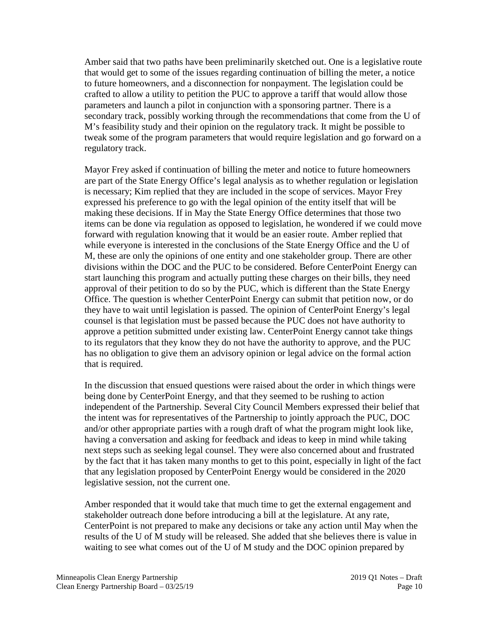Amber said that two paths have been preliminarily sketched out. One is a legislative route that would get to some of the issues regarding continuation of billing the meter, a notice to future homeowners, and a disconnection for nonpayment. The legislation could be crafted to allow a utility to petition the PUC to approve a tariff that would allow those parameters and launch a pilot in conjunction with a sponsoring partner. There is a secondary track, possibly working through the recommendations that come from the U of M's feasibility study and their opinion on the regulatory track. It might be possible to tweak some of the program parameters that would require legislation and go forward on a regulatory track.

Mayor Frey asked if continuation of billing the meter and notice to future homeowners are part of the State Energy Office's legal analysis as to whether regulation or legislation is necessary; Kim replied that they are included in the scope of services. Mayor Frey expressed his preference to go with the legal opinion of the entity itself that will be making these decisions. If in May the State Energy Office determines that those two items can be done via regulation as opposed to legislation, he wondered if we could move forward with regulation knowing that it would be an easier route. Amber replied that while everyone is interested in the conclusions of the State Energy Office and the U of M, these are only the opinions of one entity and one stakeholder group. There are other divisions within the DOC and the PUC to be considered. Before CenterPoint Energy can start launching this program and actually putting these charges on their bills, they need approval of their petition to do so by the PUC, which is different than the State Energy Office. The question is whether CenterPoint Energy can submit that petition now, or do they have to wait until legislation is passed. The opinion of CenterPoint Energy's legal counsel is that legislation must be passed because the PUC does not have authority to approve a petition submitted under existing law. CenterPoint Energy cannot take things to its regulators that they know they do not have the authority to approve, and the PUC has no obligation to give them an advisory opinion or legal advice on the formal action that is required.

In the discussion that ensued questions were raised about the order in which things were being done by CenterPoint Energy, and that they seemed to be rushing to action independent of the Partnership. Several City Council Members expressed their belief that the intent was for representatives of the Partnership to jointly approach the PUC, DOC and/or other appropriate parties with a rough draft of what the program might look like, having a conversation and asking for feedback and ideas to keep in mind while taking next steps such as seeking legal counsel. They were also concerned about and frustrated by the fact that it has taken many months to get to this point, especially in light of the fact that any legislation proposed by CenterPoint Energy would be considered in the 2020 legislative session, not the current one.

Amber responded that it would take that much time to get the external engagement and stakeholder outreach done before introducing a bill at the legislature. At any rate, CenterPoint is not prepared to make any decisions or take any action until May when the results of the U of M study will be released. She added that she believes there is value in waiting to see what comes out of the U of M study and the DOC opinion prepared by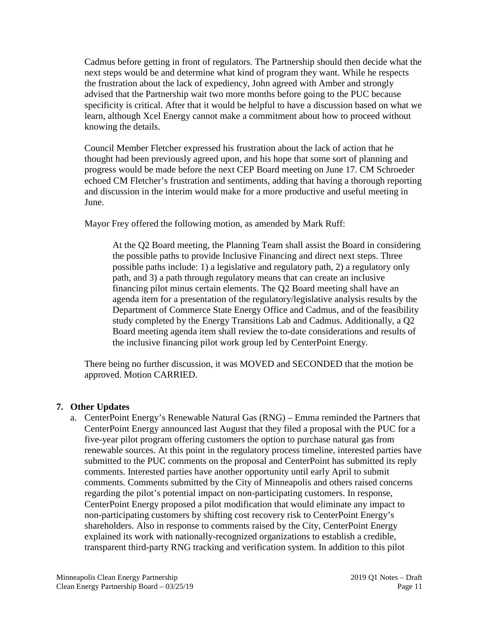Cadmus before getting in front of regulators. The Partnership should then decide what the next steps would be and determine what kind of program they want. While he respects the frustration about the lack of expediency, John agreed with Amber and strongly advised that the Partnership wait two more months before going to the PUC because specificity is critical. After that it would be helpful to have a discussion based on what we learn, although Xcel Energy cannot make a commitment about how to proceed without knowing the details.

Council Member Fletcher expressed his frustration about the lack of action that he thought had been previously agreed upon, and his hope that some sort of planning and progress would be made before the next CEP Board meeting on June 17. CM Schroeder echoed CM Fletcher's frustration and sentiments, adding that having a thorough reporting and discussion in the interim would make for a more productive and useful meeting in June.

Mayor Frey offered the following motion, as amended by Mark Ruff:

At the Q2 Board meeting, the Planning Team shall assist the Board in considering the possible paths to provide Inclusive Financing and direct next steps. Three possible paths include: 1) a legislative and regulatory path, 2) a regulatory only path, and 3) a path through regulatory means that can create an inclusive financing pilot minus certain elements. The Q2 Board meeting shall have an agenda item for a presentation of the regulatory/legislative analysis results by the Department of Commerce State Energy Office and Cadmus, and of the feasibility study completed by the Energy Transitions Lab and Cadmus. Additionally, a Q2 Board meeting agenda item shall review the to-date considerations and results of the inclusive financing pilot work group led by CenterPoint Energy.

There being no further discussion, it was MOVED and SECONDED that the motion be approved. Motion CARRIED.

### **7. Other Updates**

a. CenterPoint Energy's Renewable Natural Gas (RNG) – Emma reminded the Partners that CenterPoint Energy announced last August that they filed a proposal with the PUC for a five-year pilot program offering customers the option to purchase natural gas from renewable sources. At this point in the regulatory process timeline, interested parties have submitted to the PUC comments on the proposal and CenterPoint has submitted its reply comments. Interested parties have another opportunity until early April to submit comments. Comments submitted by the City of Minneapolis and others raised concerns regarding the pilot's potential impact on non-participating customers. In response, CenterPoint Energy proposed a pilot modification that would eliminate any impact to non-participating customers by shifting cost recovery risk to CenterPoint Energy's shareholders. Also in response to comments raised by the City, CenterPoint Energy explained its work with nationally-recognized organizations to establish a credible, transparent third-party RNG tracking and verification system. In addition to this pilot